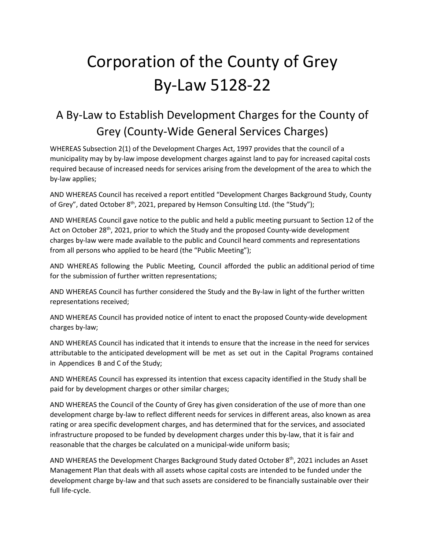# Corporation of the County of Grey By-Law 5128-22

# A By-Law to Establish Development Charges for the County of Grey (County-Wide General Services Charges)

WHEREAS Subsection 2(1) of the Development Charges Act, 1997 provides that the council of a municipality may by by-law impose development charges against land to pay for increased capital costs required because of increased needs for services arising from the development of the area to which the by-law applies;

AND WHEREAS Council has received a report entitled "Development Charges Background Study, County of Grey", dated October 8<sup>th</sup>, 2021, prepared by Hemson Consulting Ltd. (the "Study");

AND WHEREAS Council gave notice to the public and held a public meeting pursuant to Section 12 of the Act on October 28<sup>th</sup>, 2021, prior to which the Study and the proposed County-wide development charges by-law were made available to the public and Council heard comments and representations from all persons who applied to be heard (the "Public Meeting");

AND WHEREAS following the Public Meeting, Council afforded the public an additional period of time for the submission of further written representations;

AND WHEREAS Council has further considered the Study and the By-law in light of the further written representations received;

AND WHEREAS Council has provided notice of intent to enact the proposed County-wide development charges by-law;

AND WHEREAS Council has indicated that it intends to ensure that the increase in the need for services attributable to the anticipated development will be met as set out in the Capital Programs contained in Appendices B and C of the Study;

AND WHEREAS Council has expressed its intention that excess capacity identified in the Study shall be paid for by development charges or other similar charges;

AND WHEREAS the Council of the County of Grey has given consideration of the use of more than one development charge by-law to reflect different needs for services in different areas, also known as area rating or area specific development charges, and has determined that for the services, and associated infrastructure proposed to be funded by development charges under this by-law, that it is fair and reasonable that the charges be calculated on a municipal-wide uniform basis;

AND WHEREAS the Development Charges Background Study dated October 8<sup>th</sup>, 2021 includes an Asset Management Plan that deals with all assets whose capital costs are intended to be funded under the development charge by-law and that such assets are considered to be financially sustainable over their full life-cycle.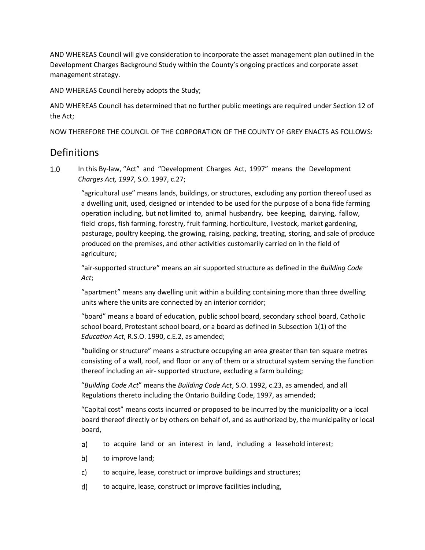AND WHEREAS Council will give consideration to incorporate the asset management plan outlined in the Development Charges Background Study within the County's ongoing practices and corporate asset management strategy.

AND WHEREAS Council hereby adopts the Study;

AND WHEREAS Council has determined that no further public meetings are required under Section 12 of the Act;

NOW THEREFORE THE COUNCIL OF THE CORPORATION OF THE COUNTY OF GREY ENACTS AS FOLLOWS:

#### **Definitions**

 $1.0$ In this By-law, "Act" and "Development Charges Act, 1997" means the Development *Charges Act, 1997*, S.O. 1997, c.27;

> "agricultural use" means lands, buildings, or structures, excluding any portion thereof used as a dwelling unit, used, designed or intended to be used for the purpose of a bona fide farming operation including, but not limited to, animal husbandry, bee keeping, dairying, fallow, field crops, fish farming, forestry, fruit farming, horticulture, livestock, market gardening, pasturage, poultry keeping, the growing, raising, packing, treating, storing, and sale of produce produced on the premises, and other activities customarily carried on in the field of agriculture;

"air-supported structure" means an air supported structure as defined in the *Building Code Act*;

"apartment" means any dwelling unit within a building containing more than three dwelling units where the units are connected by an interior corridor;

"board" means a board of education, public school board, secondary school board, Catholic school board, Protestant school board, or a board as defined in Subsection 1(1) of the *Education Act*, R.S.O. 1990, c.E.2, as amended;

"building or structure" means a structure occupying an area greater than ten square metres consisting of a wall, roof, and floor or any of them or a structural system serving the function thereof including an air- supported structure, excluding a farm building;

"*Building Code Act*" means the *Building Code Act*, S.O. 1992, c.23, as amended, and all Regulations thereto including the Ontario Building Code, 1997, as amended;

"Capital cost" means costs incurred or proposed to be incurred by the municipality or a local board thereof directly or by others on behalf of, and as authorized by, the municipality or local board,

- to acquire land or an interest in land, including a leasehold interest; a)
- b) to improve land;
- c) to acquire, lease, construct or improve buildings and structures;
- to acquire, lease, construct or improve facilities including,d)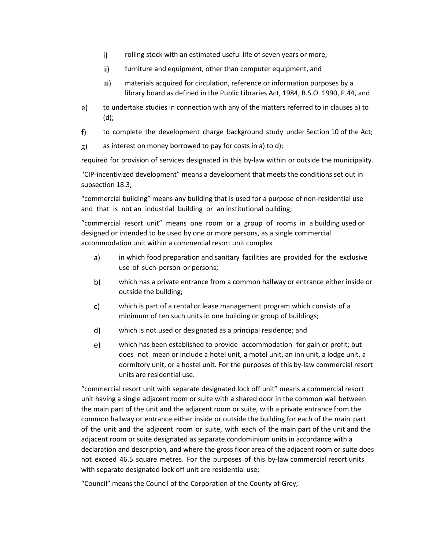- $i)$ rolling stock with an estimated useful life of seven years or more,
- $\mathsf{ii}$ furniture and equipment, other than computer equipment, and
- iii) materials acquired for circulation, reference or information purposes by a library board as defined in the Public Libraries Act, 1984, R.S.O. 1990, P.44, and
- to undertake studies in connection with any of the matters referred to in clauses a) to e) (d);
- $f$ to complete the development charge background study under Section 10 of the Act;
- g) as interest on money borrowed to pay for costs in a) to d);

required for provision of services designated in this by-law within or outside the municipality.

"CIP-incentivized development" means a development that meets the conditions set out in subsection 18.3;

"commercial building" means any building that is used for a purpose of non-residential use and that is not an industrial building or an institutional building;

"commercial resort unit" means one room or a group of rooms in a building used or designed or intended to be used by one or more persons, as a single commercial accommodation unit within a commercial resort unit complex

- in which food preparation and sanitary facilities are provided for the exclusive a) use of such person or persons;
- b) which has a private entrance from a common hallway or entrance either inside or outside the building;
- $\mathsf{c}$ which is part of a rental or lease management program which consists of a minimum of ten such units in one building or group of buildings;
- which is not used or designated as a principal residence; and d)
- which has been established to provide accommodation for gain or profit; but  $e)$ does not mean or include a hotel unit, a motel unit, an inn unit, a lodge unit, a dormitory unit, or a hostel unit. For the purposes of this by-law commercial resort units are residential use.

"commercial resort unit with separate designated lock off unit" means a commercial resort unit having a single adjacent room or suite with a shared door in the common wall between the main part of the unit and the adjacent room or suite, with a private entrance from the common hallway or entrance either inside or outside the building for each of the main part of the unit and the adjacent room or suite, with each of the main part of the unit and the adjacent room or suite designated as separate condominium units in accordance with a declaration and description, and where the gross floor area of the adjacent room or suite does not exceed 46.5 square metres. For the purposes of this by-law commercial resort units with separate designated lock off unit are residential use;

"Council" means the Council of the Corporation of the County of Grey;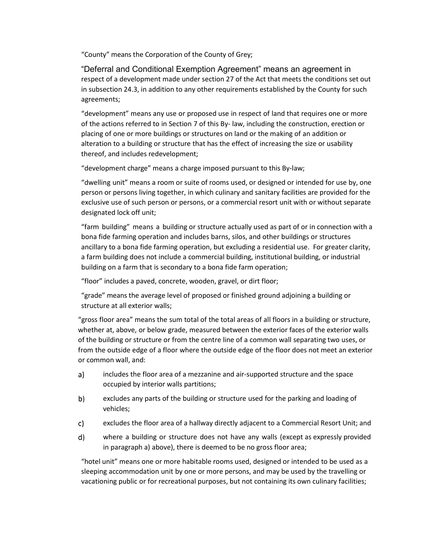"County" means the Corporation of the County of Grey;

"Deferral and Conditional Exemption Agreement" means an agreement in respect of a development made under section 27 of the Act that meets the conditions set out in subsection 24.3, in addition to any other requirements established by the County for such agreements;

"development" means any use or proposed use in respect of land that requires one or more of the actions referred to in Section 7 of this By- law, including the construction, erection or placing of one or more buildings or structures on land or the making of an addition or alteration to a building or structure that has the effect of increasing the size or usability thereof, and includes redevelopment;

"development charge" means a charge imposed pursuant to this By-law;

"dwelling unit" means a room or suite of rooms used, or designed or intended for use by, one person or persons living together, in which culinary and sanitary facilities are provided for the exclusive use of such person or persons, or a commercial resort unit with or without separate designated lock off unit;

"farm building" means a building or structure actually used as part of or in connection with a bona fide farming operation and includes barns, silos, and other buildings or structures ancillary to a bona fide farming operation, but excluding a residential use. For greater clarity, a farm building does not include a commercial building, institutional building, or industrial building on a farm that is secondary to a bona fide farm operation;

"floor" includes a paved, concrete, wooden, gravel, or dirt floor;

"grade" means the average level of proposed or finished ground adjoining a building or structure at all exterior walls;

"gross floor area" means the sum total of the total areas of all floors in a building or structure, whether at, above, or below grade, measured between the exterior faces of the exterior walls of the building or structure or from the centre line of a common wall separating two uses, or from the outside edge of a floor where the outside edge of the floor does not meet an exterior or common wall, and:

- a) includes the floor area of a mezzanine and air-supported structure and the space occupied by interior walls partitions;
- b) excludes any parts of the building or structure used for the parking and loading of vehicles;
- excludes the floor area of a hallway directly adjacent to a Commercial Resort Unit; and c)
- where a building or structure does not have any walls (except as expressly provided d) in paragraph a) above), there is deemed to be no gross floor area;

"hotel unit" means one or more habitable rooms used, designed or intended to be used as a sleeping accommodation unit by one or more persons, and may be used by the travelling or vacationing public or for recreational purposes, but not containing its own culinary facilities;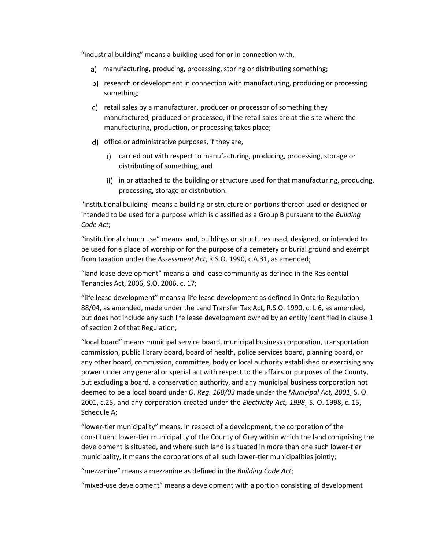"industrial building" means a building used for or in connection with,

- a) manufacturing, producing, processing, storing or distributing something;
- b) research or development in connection with manufacturing, producing or processing something;
- c) retail sales by a manufacturer, producer or processor of something they manufactured, produced or processed, if the retail sales are at the site where the manufacturing, production, or processing takes place;
- d) office or administrative purposes, if they are,
	- i) carried out with respect to manufacturing, producing, processing, storage or distributing of something, and
	- ii) in or attached to the building or structure used for that manufacturing, producing, processing, storage or distribution.

"institutional building" means a building or structure or portions thereof used or designed or intended to be used for a purpose which is classified as a Group B pursuant to the *Building Code Act*;

"institutional church use" means land, buildings or structures used, designed, or intended to be used for a place of worship or for the purpose of a cemetery or burial ground and exempt from taxation under the *Assessment Act*, R.S.O. 1990, c.A.31, as amended;

"land lease development" means a land lease community as defined in the Residential Tenancies Act, 2006, S.O. 2006, c. 17;

"life lease development" means a life lease development as defined in Ontario Regulation 88/04, as amended, made under the Land Transfer Tax Act, R.S.O. 1990, c. L.6, as amended, but does not include any such life lease development owned by an entity identified in clause 1 of section 2 of that Regulation;

"local board" means municipal service board, municipal business corporation, transportation commission, public library board, board of health, police services board, planning board, or any other board, commission, committee, body or local authority established or exercising any power under any general or special act with respect to the affairs or purposes of the County, but excluding a board, a conservation authority, and any municipal business corporation not deemed to be a local board under *O. Reg. 168/03* made under the *Municipal Act, 2001*, S. O. 2001, c.25, and any corporation created under the *Electricity Act, 1998*, S. O. 1998, c. 15, Schedule A;

"lower-tier municipality" means, in respect of a development, the corporation of the constituent lower-tier municipality of the County of Grey within which the land comprising the development is situated, and where such land is situated in more than one such lower-tier municipality, it means the corporations of all such lower-tier municipalities jointly;

"mezzanine" means a mezzanine as defined in the *Building Code Act*;

"mixed-use development" means a development with a portion consisting of development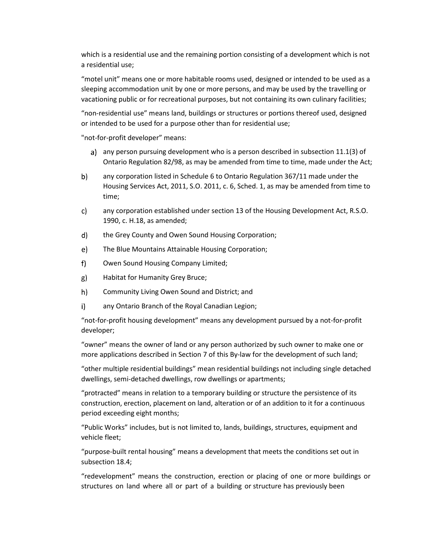which is a residential use and the remaining portion consisting of a development which is not a residential use;

"motel unit" means one or more habitable rooms used, designed or intended to be used as a sleeping accommodation unit by one or more persons, and may be used by the travelling or vacationing public or for recreational purposes, but not containing its own culinary facilities;

"non-residential use" means land, buildings or structures or portions thereof used, designed or intended to be used for a purpose other than for residential use;

"not-for-profit developer" means:

- a) any person pursuing development who is a person described in subsection  $11.1(3)$  of Ontario Regulation 82/98, as may be amended from time to time, made under the Act;
- b) any corporation listed in Schedule 6 to Ontario Regulation 367/11 made under the Housing Services Act, 2011, S.O. 2011, c. 6, Sched. 1, as may be amended from time to time;
- any corporation established under section 13 of the Housing Development Act, R.S.O. c) 1990, c. H.18, as amended;
- d) the Grey County and Owen Sound Housing Corporation;
- e) The Blue Mountains Attainable Housing Corporation;
- $f$ ) Owen Sound Housing Company Limited;
- g) Habitat for Humanity Grey Bruce;
- h) Community Living Owen Sound and District; and
- any Ontario Branch of the Royal Canadian Legion; i).

"not-for-profit housing development" means any development pursued by a not-for-profit developer;

"owner" means the owner of land or any person authorized by such owner to make one or more applications described in Section 7 of this By-law for the development of such land;

"other multiple residential buildings" mean residential buildings not including single detached dwellings, semi-detached dwellings, row dwellings or apartments;

"protracted" means in relation to a temporary building or structure the persistence of its construction, erection, placement on land, alteration or of an addition to it for a continuous period exceeding eight months;

"Public Works" includes, but is not limited to, lands, buildings, structures, equipment and vehicle fleet;

"purpose-built rental housing" means a development that meets the conditions set out in subsection 18.4;

"redevelopment" means the construction, erection or placing of one or more buildings or structures on land where all or part of a building or structure has previously been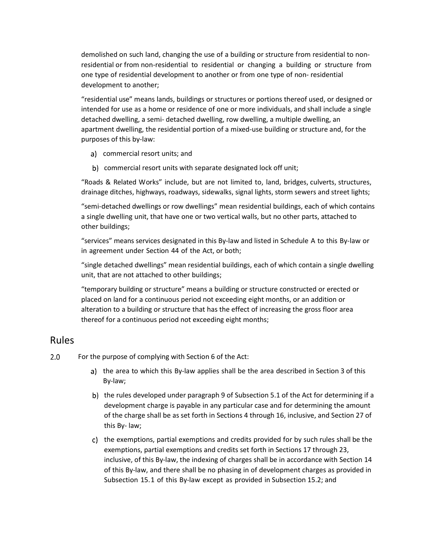demolished on such land, changing the use of a building or structure from residential to nonresidential or from non-residential to residential or changing a building or structure from one type of residential development to another or from one type of non- residential development to another;

"residential use" means lands, buildings or structures or portions thereof used, or designed or intended for use as a home or residence of one or more individuals, and shall include a single detached dwelling, a semi- detached dwelling, row dwelling, a multiple dwelling, an apartment dwelling, the residential portion of a mixed-use building or structure and, for the purposes of this by-law:

- commercial resort units; and
- b) commercial resort units with separate designated lock off unit;

"Roads & Related Works" include, but are not limited to, land, bridges, culverts, structures, drainage ditches, highways, roadways, sidewalks, signal lights, storm sewers and street lights;

"semi-detached dwellings or row dwellings" mean residential buildings, each of which contains a single dwelling unit, that have one or two vertical walls, but no other parts, attached to other buildings;

"services" means services designated in this By-law and listed in Schedule A to this By-law or in agreement under Section 44 of the Act, or both;

"single detached dwellings" mean residential buildings, each of which contain a single dwelling unit, that are not attached to other buildings;

"temporary building or structure" means a building or structure constructed or erected or placed on land for a continuous period not exceeding eight months, or an addition or alteration to a building or structure that has the effect of increasing the gross floor area thereof for a continuous period not exceeding eight months;

#### Rules

- $2.0$ For the purpose of complying with Section 6 of the Act:
	- a) the area to which this By-law applies shall be the area described in Section 3 of this By-law;
	- b) the rules developed under paragraph 9 of Subsection 5.1 of the Act for determining if a development charge is payable in any particular case and for determining the amount of the charge shall be as set forth in Sections 4 through 16, inclusive, and Section 27 of this By- law;
	- c) the exemptions, partial exemptions and credits provided for by such rules shall be the exemptions, partial exemptions and credits set forth in Sections 17 through 23, inclusive, of this By-law, the indexing of charges shall be in accordance with Section 14 of this By-law, and there shall be no phasing in of development charges as provided in Subsection 15.1 of this By-law except as provided in Subsection 15.2; and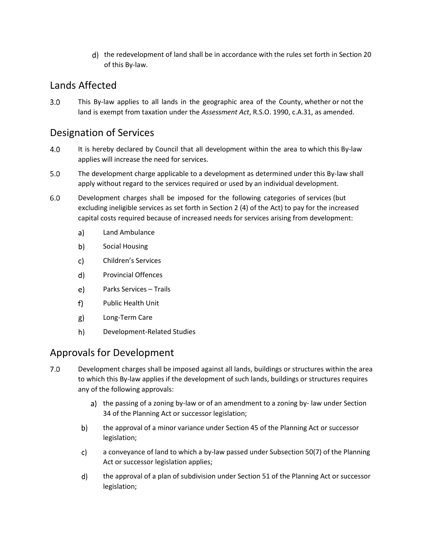d) the redevelopment of land shall be in accordance with the rules set forth in Section 20 of this By-law.

### Lands Affected

 $3.0$ This By-law applies to all lands in the geographic area of the County, whether or not the land is exempt from taxation under the *Assessment Act*, R.S.O. 1990, c.A.31, as amended.

### Designation of Services

- 4.0 It is hereby declared by Council that all development within the area to which this By-law applies will increase the need for services.
- $5.0$ The development charge applicable to a development as determined under this By-law shall apply without regard to the services required or used by an individual development.
- $6.0$ Development charges shall be imposed for the following categories of services (but excluding ineligible services as set forth in Section 2 (4) of the Act) to pay for the increased capital costs required because of increased needs for services arising from development:
	- Land Ambulance  $a)$
	- b) Social Housing
	- c) Children's Services
	- d) Provincial Offences
	- e) Parks Services – Trails
	- $f$ Public Health Unit
	- Long-Term Care  $g)$
	- h) Development-Related Studies

### Approvals for Development

- $7.0$ Development charges shall be imposed against all lands, buildings or structures within the area to which this By-law applies if the development of such lands, buildings or structures requires any of the following approvals:
	- a) the passing of a zoning by-law or of an amendment to a zoning by-law under Section 34 of the Planning Act or successor legislation;
	- b) the approval of a minor variance under Section 45 of the Planning Act or successor legislation;
	- c) a conveyance of land to which a by-law passed under Subsection 50(7) of the Planning Act or successor legislation applies;
	- d) the approval of a plan of subdivision under Section 51 of the Planning Act or successor legislation;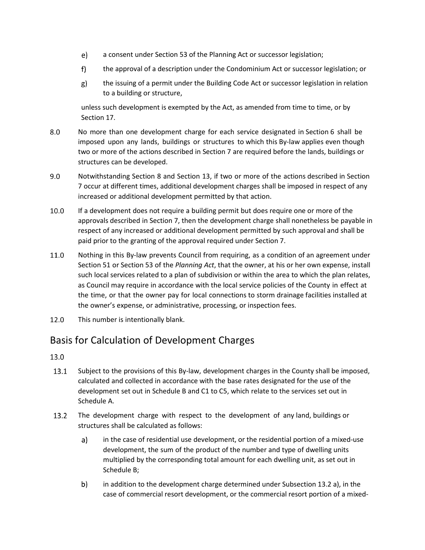- e) a consent under Section 53 of the Planning Act or successor legislation;
- $f$ ) the approval of a description under the Condominium Act or successor legislation; or
- $g$ ) the issuing of a permit under the Building Code Act or successor legislation in relation to a building or structure,

unless such development is exempted by the Act, as amended from time to time, or by Section 17.

- 8.0 No more than one development charge for each service designated in Section 6 shall be imposed upon any lands, buildings or structures to which this By-law applies even though two or more of the actions described in Section 7 are required before the lands, buildings or structures can be developed.
- $9.0$ Notwithstanding Section 8 and Section 13, if two or more of the actions described in Section 7 occur at different times, additional development charges shall be imposed in respect of any increased or additional development permitted by that action.
- 10.0 If a development does not require a building permit but does require one or more of the approvals described in Section 7, then the development charge shall nonetheless be payable in respect of any increased or additional development permitted by such approval and shall be paid prior to the granting of the approval required under Section 7.
- 11.0 Nothing in this By-law prevents Council from requiring, as a condition of an agreement under Section 51 or Section 53 of the *Planning Act*, that the owner, at his or her own expense, install such local services related to a plan of subdivision or within the area to which the plan relates, as Council may require in accordance with the local service policies of the County in effect at the time, or that the owner pay for local connections to storm drainage facilities installed at the owner's expense, or administrative, processing, or inspection fees.
- This number is intentionally blank.  $12.0$

### Basis for Calculation of Development Charges

- 13.1 Subject to the provisions of this By-law, development charges in the County shall be imposed, calculated and collected in accordance with the base rates designated for the use of the development set out in Schedule B and C1 to C5, which relate to the services set out in Schedule A.
- 13.2 The development charge with respect to the development of any land, buildings or structures shall be calculated as follows:
	- $a)$ in the case of residential use development, or the residential portion of a mixed-use development, the sum of the product of the number and type of dwelling units multiplied by the corresponding total amount for each dwelling unit, as set out in Schedule B;
	- in addition to the development charge determined under Subsection 13.2 a), in the b) case of commercial resort development, or the commercial resort portion of a mixed-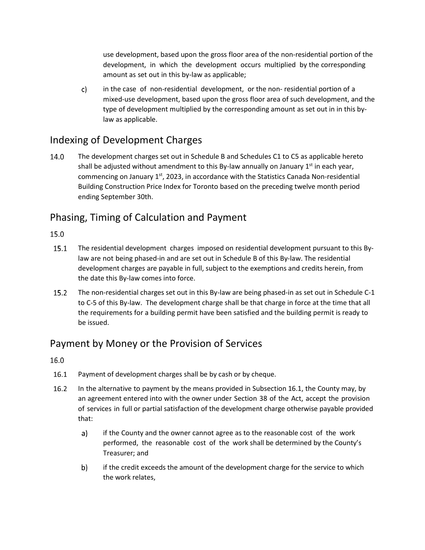use development, based upon the gross floor area of the non-residential portion of the development, in which the development occurs multiplied by the corresponding amount as set out in this by-law as applicable;

c) in the case of non-residential development, or the non- residential portion of a mixed-use development, based upon the gross floor area of such development, and the type of development multiplied by the corresponding amount as set out in in this bylaw as applicable.

### Indexing of Development Charges

14.0 The development charges set out in Schedule B and Schedules C1 to C5 as applicable hereto shall be adjusted without amendment to this By-law annually on January  $1^{st}$  in each year, commencing on January  $1<sup>st</sup>$ , 2023, in accordance with the Statistics Canada Non-residential Building Construction Price Index for Toronto based on the preceding twelve month period ending September 30th.

### Phasing, Timing of Calculation and Payment

#### 15.0

- 15.1 The residential development charges imposed on residential development pursuant to this Bylaw are not being phased-in and are set out in Schedule B of this By-law. The residential development charges are payable in full, subject to the exemptions and credits herein, from the date this By-law comes into force.
- $15.2$ The non-residential charges set out in this By-law are being phased-in as set out in Schedule C-1 to C-5 of this By-law. The development charge shall be that charge in force at the time that all the requirements for a building permit have been satisfied and the building permit is ready to be issued.

### Payment by Money or the Provision of Services

- $16.1$ Payment of development charges shall be by cash or by cheque.
- $16.2$ In the alternative to payment by the means provided in Subsection 16.1, the County may, by an agreement entered into with the owner under Section 38 of the Act, accept the provision of services in full or partial satisfaction of the development charge otherwise payable provided that:
	- a) if the County and the owner cannot agree as to the reasonable cost of the work performed, the reasonable cost of the work shall be determined by the County's Treasurer; and
	- if the credit exceeds the amount of the development charge for the service to which b) the work relates,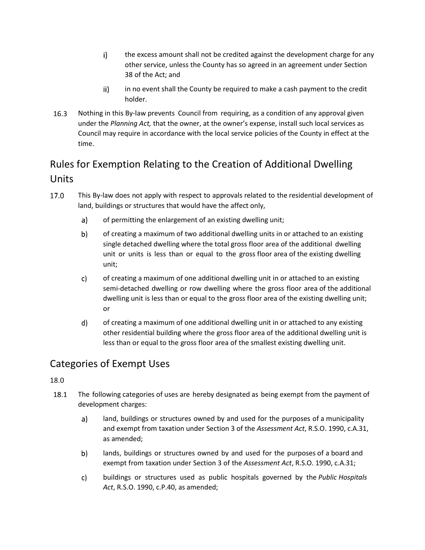- $i)$ the excess amount shall not be credited against the development charge for any other service, unless the County has so agreed in an agreement under Section 38 of the Act; and
- ii) in no event shall the County be required to make a cash payment to the credit holder.
- $16.3$ Nothing in this By-law prevents Council from requiring, as a condition of any approval given under the *Planning Act,* that the owner, at the owner's expense, install such local services as Council may require in accordance with the local service policies of the County in effect at the time.

# Rules for Exemption Relating to the Creation of Additional Dwelling Units

- 17.0 This By-law does not apply with respect to approvals related to the residential development of land, buildings or structures that would have the affect only,
	- a) of permitting the enlargement of an existing dwelling unit;
	- b) of creating a maximum of two additional dwelling units in or attached to an existing single detached dwelling where the total gross floor area of the additional dwelling unit or units is less than or equal to the gross floor area of the existing dwelling unit;
	- c) of creating a maximum of one additional dwelling unit in or attached to an existing semi-detached dwelling or row dwelling where the gross floor area of the additional dwelling unit is less than or equal to the gross floor area of the existing dwelling unit; or
	- of creating a maximum of one additional dwelling unit in or attached to any existing d) other residential building where the gross floor area of the additional dwelling unit is less than or equal to the gross floor area of the smallest existing dwelling unit.

# Categories of Exempt Uses

- 18.1 The following categories of uses are hereby designated as being exempt from the payment of development charges:
	- $a)$ land, buildings or structures owned by and used for the purposes of a municipality and exempt from taxation under Section 3 of the *Assessment Act*, R.S.O. 1990, c.A.31, as amended;
	- b) lands, buildings or structures owned by and used for the purposes of a board and exempt from taxation under Section 3 of the *Assessment Act*, R.S.O. 1990, c.A.31;
	- c) buildings or structures used as public hospitals governed by the *Public Hospitals Act*, R.S.O. 1990, c.P.40, as amended;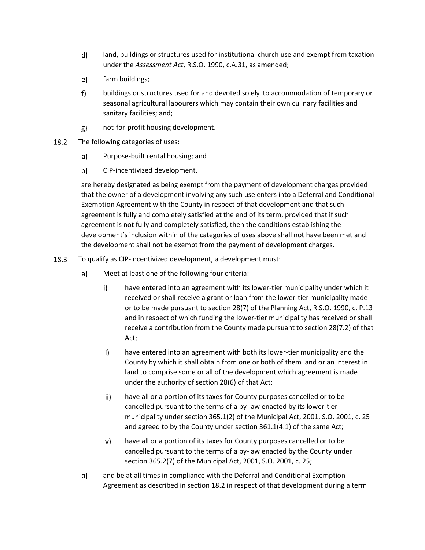- d) land, buildings or structures used for institutional church use and exempt from taxation under the *Assessment Act*, R.S.O. 1990, c.A.31, as amended;
- e) farm buildings;
- $f$ buildings or structures used for and devoted solely to accommodation of temporary or seasonal agricultural labourers which may contain their own culinary facilities and sanitary facilities; and;
- $g)$ not-for-profit housing development.
- 18.2 The following categories of uses:
	- $a)$ Purpose-built rental housing; and
	- b) CIP-incentivized development,

are hereby designated as being exempt from the payment of development charges provided that the owner of a development involving any such use enters into a Deferral and Conditional Exemption Agreement with the County in respect of that development and that such agreement is fully and completely satisfied at the end of its term, provided that if such agreement is not fully and completely satisfied, then the conditions establishing the development's inclusion within of the categories of uses above shall not have been met and the development shall not be exempt from the payment of development charges.

- 18.3 To qualify as CIP-incentivized development, a development must:
	- $a)$ Meet at least one of the following four criteria:
		- $\mathsf{i}$ have entered into an agreement with its lower-tier municipality under which it received or shall receive a grant or loan from the lower-tier municipality made or to be made pursuant to section 28(7) of the Planning Act, R.S.O. 1990, c. P.13 and in respect of which funding the lower-tier municipality has received or shall receive a contribution from the County made pursuant to section 28(7.2) of that Act;
		- ii) have entered into an agreement with both its lower-tier municipality and the County by which it shall obtain from one or both of them land or an interest in land to comprise some or all of the development which agreement is made under the authority of section 28(6) of that Act;
		- $iii)$ have all or a portion of its taxes for County purposes cancelled or to be cancelled pursuant to the terms of a by-law enacted by its lower-tier municipality under section 365.1(2) of the Municipal Act, 2001, S.O. 2001, c. 25 and agreed to by the County under section 361.1(4.1) of the same Act;
		- have all or a portion of its taxes for County purposes cancelled or to be iv) cancelled pursuant to the terms of a by-law enacted by the County under section 365.2(7) of the Municipal Act, 2001, S.O. 2001, c. 25;
	- and be at all times in compliance with the Deferral and Conditional Exemption b) Agreement as described in section 18.2 in respect of that development during a term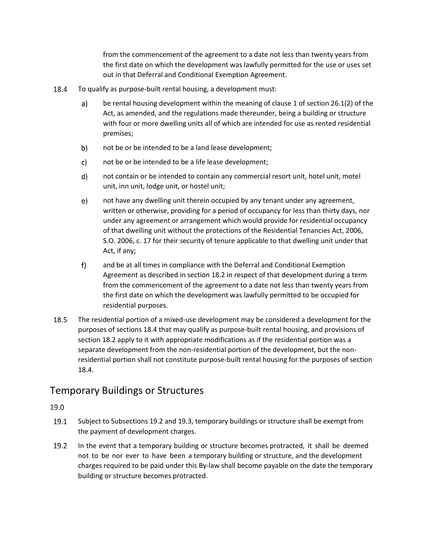from the commencement of the agreement to a date not less than twenty years from the first date on which the development was lawfully permitted for the use or uses set out in that Deferral and Conditional Exemption Agreement.

- 18.4 To qualify as purpose-built rental housing, a development must:
	- a) be rental housing development within the meaning of clause 1 of section 26.1(2) of the Act, as amended, and the regulations made thereunder, being a building or structure with four or more dwelling units all of which are intended for use as rented residential premises;
	- b) not be or be intended to be a land lease development;
	- not be or be intended to be a life lease development; c)
	- d) not contain or be intended to contain any commercial resort unit, hotel unit, motel unit, inn unit, lodge unit, or hostel unit;
	- $e)$ not have any dwelling unit therein occupied by any tenant under any agreement, written or otherwise, providing for a period of occupancy for less than thirty days, nor under any agreement or arrangement which would provide for residential occupancy of that dwelling unit without the protections of the Residential Tenancies Act, 2006, S.O. 2006, c. 17 for their security of tenure applicable to that dwelling unit under that Act, if any;
	- $f$ and be at all times in compliance with the Deferral and Conditional Exemption Agreement as described in section 18.2 in respect of that development during a term from the commencement of the agreement to a date not less than twenty years from the first date on which the development was lawfully permitted to be occupied for residential purposes.
- 18.5 The residential portion of a mixed-use development may be considered a development for the purposes of sections 18.4 that may qualify as purpose-built rental housing, and provisions of section 18.2 apply to it with appropriate modifications as if the residential portion was a separate development from the non-residential portion of the development, but the nonresidential portion shall not constitute purpose-built rental housing for the purposes of section 18.4.

#### Temporary Buildings or Structures

- 19.1 Subject to Subsections 19.2 and 19.3, temporary buildings or structure shall be exempt from the payment of development charges.
- $19.2$ In the event that a temporary building or structure becomes protracted, it shall be deemed not to be nor ever to have been a temporary building or structure, and the development charges required to be paid under this By-law shall become payable on the date the temporary building or structure becomes protracted.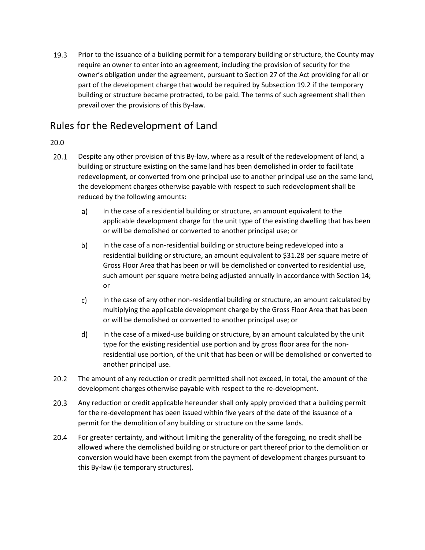$19.3$ Prior to the issuance of a building permit for a temporary building or structure, the County may require an owner to enter into an agreement, including the provision of security for the owner's obligation under the agreement, pursuant to Section 27 of the Act providing for all or part of the development charge that would be required by Subsection 19.2 if the temporary building or structure became protracted, to be paid. The terms of such agreement shall then prevail over the provisions of this By-law.

### Rules for the Redevelopment of Land

- $20.1$ Despite any other provision of this By-law, where as a result of the redevelopment of land, a building or structure existing on the same land has been demolished in order to facilitate redevelopment, or converted from one principal use to another principal use on the same land, the development charges otherwise payable with respect to such redevelopment shall be reduced by the following amounts:
	- $a)$ In the case of a residential building or structure, an amount equivalent to the applicable development charge for the unit type of the existing dwelling that has been or will be demolished or converted to another principal use; or
	- b) In the case of a non-residential building or structure being redeveloped into a residential building or structure, an amount equivalent to \$31.28 per square metre of Gross Floor Area that has been or will be demolished or converted to residential use, such amount per square metre being adjusted annually in accordance with Section 14; or
	- c) In the case of any other non-residential building or structure, an amount calculated by multiplying the applicable development charge by the Gross Floor Area that has been or will be demolished or converted to another principal use; or
	- In the case of a mixed-use building or structure, by an amount calculated by the unit d) type for the existing residential use portion and by gross floor area for the nonresidential use portion, of the unit that has been or will be demolished or converted to another principal use.
- $20.2$ The amount of any reduction or credit permitted shall not exceed, in total, the amount of the development charges otherwise payable with respect to the re-development.
- $20.3$ Any reduction or credit applicable hereunder shall only apply provided that a building permit for the re-development has been issued within five years of the date of the issuance of a permit for the demolition of any building or structure on the same lands.
- For greater certainty, and without limiting the generality of the foregoing, no credit shall be 20.4 allowed where the demolished building or structure or part thereof prior to the demolition or conversion would have been exempt from the payment of development charges pursuant to this By-law (ie temporary structures).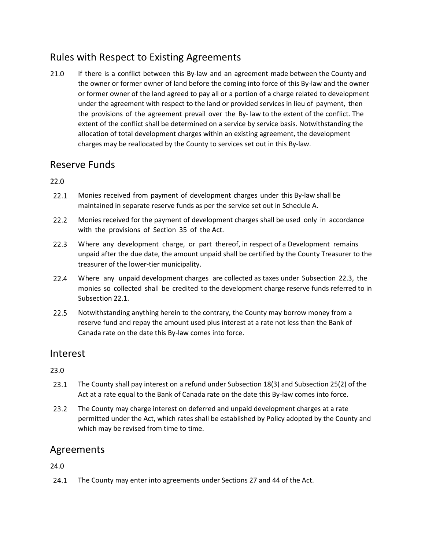### Rules with Respect to Existing Agreements

21.0 If there is a conflict between this By-law and an agreement made between the County and the owner or former owner of land before the coming into force of this By-law and the owner or former owner of the land agreed to pay all or a portion of a charge related to development under the agreement with respect to the land or provided services in lieu of payment, then the provisions of the agreement prevail over the By- law to the extent of the conflict. The extent of the conflict shall be determined on a service by service basis. Notwithstanding the allocation of total development charges within an existing agreement, the development charges may be reallocated by the County to services set out in this By-law.

#### Reserve Funds

 $22.0$ 

- $22.1$ Monies received from payment of development charges under this By-law shall be maintained in separate reserve funds as per the service set out in Schedule A.
- $22.2$ Monies received for the payment of development charges shall be used only in accordance with the provisions of Section 35 of the Act.
- $22.3$ Where any development charge, or part thereof, in respect of a Development remains unpaid after the due date, the amount unpaid shall be certified by the County Treasurer to the treasurer of the lower-tier municipality.
- $22.4$ Where any unpaid development charges are collected as taxes under Subsection 22.3, the monies so collected shall be credited to the development charge reserve funds referred to in Subsection 22.1.
- $22.5$ Notwithstanding anything herein to the contrary, the County may borrow money from a reserve fund and repay the amount used plus interest at a rate not less than the Bank of Canada rate on the date this By-law comes into force.

#### Interest

23.0

- $23.1$ The County shall pay interest on a refund under Subsection 18(3) and Subsection 25(2) of the Act at a rate equal to the Bank of Canada rate on the date this By-law comes into force.
- $23.2$ The County may charge interest on deferred and unpaid development charges at a rate permitted under the Act, which rates shall be established by Policy adopted by the County and which may be revised from time to time.

### Agreements

24.0

 $24.1$ The County may enter into agreements under Sections 27 and 44 of the Act.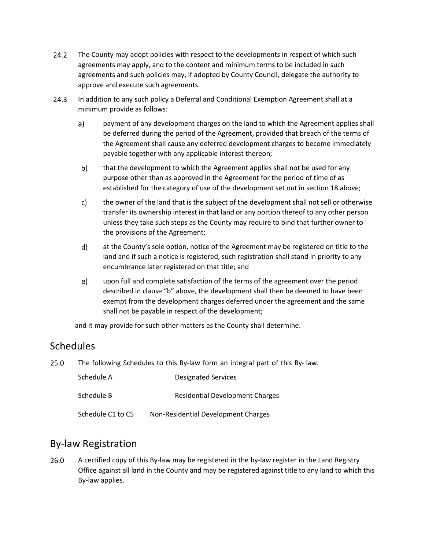- $24.2$ The County may adopt policies with respect to the developments in respect of which such agreements may apply, and to the content and minimum terms to be included in such agreements and such policies may, if adopted by County Council, delegate the authority to approve and execute such agreements.
- $24.3$ In addition to any such policy a Deferral and Conditional Exemption Agreement shall at a minimum provide as follows:
	- payment of any development charges on the land to which the Agreement applies shall a) be deferred during the period of the Agreement, provided that breach of the terms of the Agreement shall cause any deferred development charges to become immediately payable together with any applicable interest thereon;
	- b) that the development to which the Agreement applies shall not be used for any purpose other than as approved in the Agreement for the period of time of as established for the category of use of the development set out in section 18 above;
	- c) the owner of the land that is the subject of the development shall not sell or otherwise transfer its ownership interest in that land or any portion thereof to any other person unless they take such steps as the County may require to bind that further owner to the provisions of the Agreement;
	- d) at the County's sole option, notice of the Agreement may be registered on title to the land and if such a notice is registered, such registration shall stand in priority to any encumbrance later registered on that title; and
	- e) upon full and complete satisfaction of the terms of the agreement over the period described in clause "b" above, the development shall then be deemed to have been exempt from the development charges deferred under the agreement and the same shall not be payable in respect of the development;

and it may provide for such other matters as the County shall determine.

### **Schedules**

25.0 The following Schedules to this By-law form an integral part of this By- law.

| Schedule A        | <b>Designated Services</b>          |
|-------------------|-------------------------------------|
| Schedule B        | Residential Development Charges     |
| Schedule C1 to C5 | Non-Residential Development Charges |

### By-law Registration

26.0 A certified copy of this By-law may be registered in the by-law register in the Land Registry Office against all land in the County and may be registered against title to any land to which this By-law applies.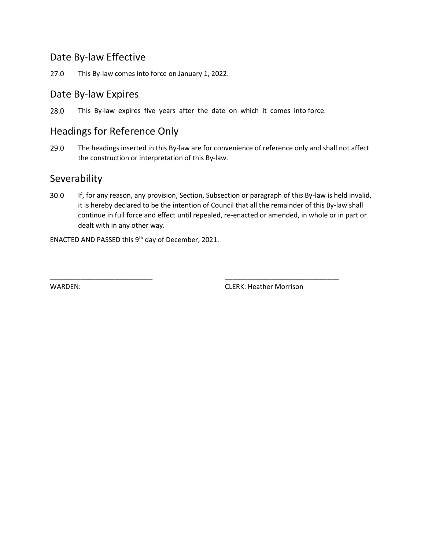#### Date By-law Effective

27.0 This By-law comes into force on January 1, 2022.

#### Date By-law Expires

28.0 This By-law expires five years after the date on which it comes into force.

### Headings for Reference Only

29.0 The headings inserted in this By-law are for convenience of reference only and shall not affect the construction or interpretation of this By-law.

#### Severability

30.0 If, for any reason, any provision, Section, Subsection or paragraph of this By-law is held invalid, it is hereby declared to be the intention of Council that all the remainder of this By-law shall continue in full force and effect until repealed, re-enacted or amended, in whole or in part or dealt with in any other way.

\_\_\_\_\_\_\_\_\_\_\_\_\_\_\_\_\_\_\_\_\_\_\_\_\_\_\_ \_\_\_\_\_\_\_\_\_\_\_\_\_\_\_\_\_\_\_\_\_\_\_\_\_\_\_\_\_\_

ENACTED AND PASSED this  $9<sup>th</sup>$  day of December, 2021.

WARDEN: CLERK: Heather Morrison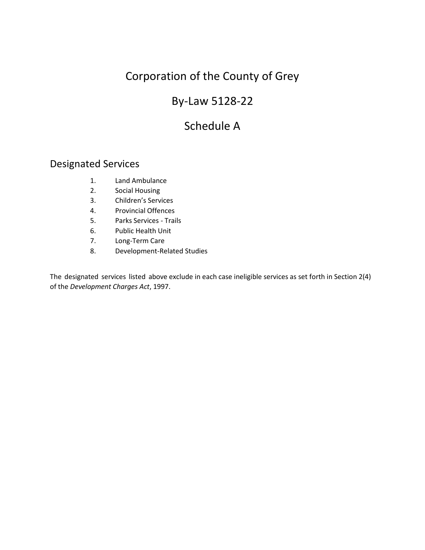# By-Law 5128-22

# Schedule A

#### Designated Services

- 1. Land Ambulance
- 2. Social Housing
- 3. Children's Services
- 4. Provincial Offences
- 5. Parks Services Trails
- 6. Public Health Unit
- 7. Long-Term Care
- 8. Development-Related Studies

The designated services listed above exclude in each case ineligible services as set forth in Section 2(4) of the *Development Charges Act*, 1997.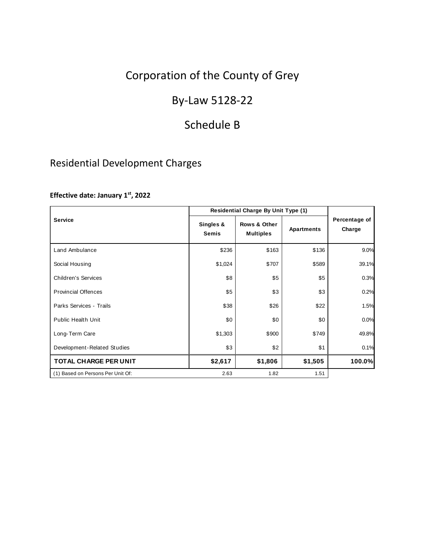# By-Law 5128-22

# Schedule B

### Residential Development Charges

#### **Effective date: January 1st, 2022**

|                                   | Residential Charge By Unit Type (1) |                                  |            |                         |
|-----------------------------------|-------------------------------------|----------------------------------|------------|-------------------------|
| <b>Service</b>                    | Singles &<br><b>Semis</b>           | Rows & Other<br><b>Multiples</b> | Apartments | Percentage of<br>Charge |
| Land Ambulance                    | \$236                               | \$163                            | \$136      | 9.0%                    |
| Social Housing                    | \$1,024                             | \$707                            | \$589      | 39.1%                   |
| <b>Children's Services</b>        | \$8                                 | \$5                              | \$5        | 0.3%                    |
| <b>Provincial Offences</b>        | \$5                                 | \$3                              | \$3        | 0.2%                    |
| Parks Services - Trails           | \$38                                | \$26                             | \$22       | 1.5%                    |
| <b>Public Health Unit</b>         | \$0                                 | \$0                              | \$0        | 0.0%                    |
| Long-Term Care                    | \$1,303                             | \$900                            | \$749      | 49.8%                   |
| Development-Related Studies       | \$3                                 | \$2                              | \$1        | 0.1%                    |
| TOTAL CHARGE PER UNIT             | \$2,617                             | \$1,806                          | \$1,505    | 100.0%                  |
| (1) Based on Persons Per Unit Of: | 2.63                                | 1.82                             | 1.51       |                         |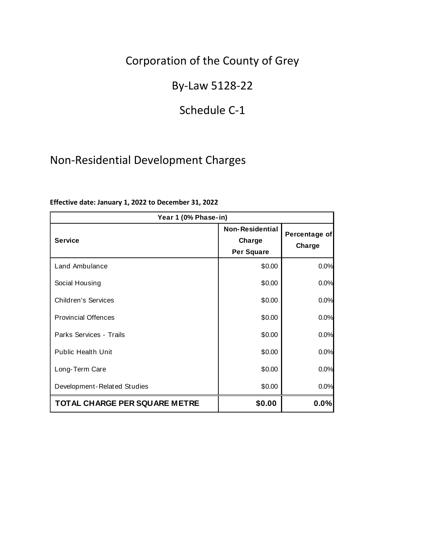# By-Law 5128-22

### Schedule C-1

# Non-Residential Development Charges

| Year 1 (0% Phase-in)                 |                                                |                         |  |
|--------------------------------------|------------------------------------------------|-------------------------|--|
| <b>Service</b>                       | <b>Non-Residential</b><br>Charge<br>Per Square | Percentage of<br>Charge |  |
| Land Ambulance                       | \$0.00                                         | 0.0%                    |  |
| Social Housing                       | \$0.00                                         | 0.0%                    |  |
| <b>Children's Services</b>           | \$0.00                                         | 0.0%                    |  |
| <b>Provincial Offences</b>           | \$0.00                                         | 0.0%                    |  |
| Parks Services - Trails              | \$0.00                                         | 0.0%                    |  |
| <b>Public Health Unit</b>            | \$0.00                                         | 0.0%                    |  |
| Long-Term Care                       | \$0.00                                         | 0.0%                    |  |
| Development-Related Studies          | \$0.00                                         | 0.0%                    |  |
| <b>TOTAL CHARGE PER SQUARE METRE</b> | \$0.00                                         | 0.0%                    |  |

#### **Effective date: January 1, 2022 to December 31, 2022**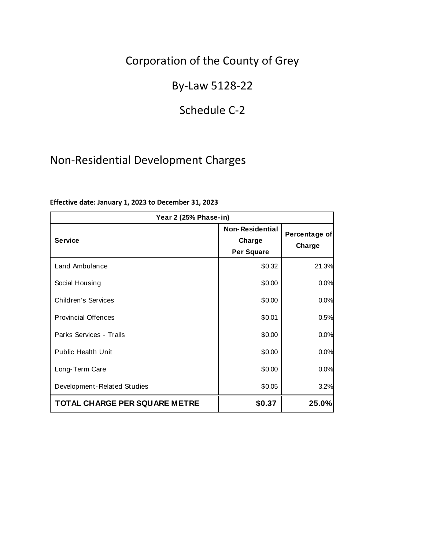# By-Law 5128-22

### Schedule C-2

# Non-Residential Development Charges

| Year 2 (25% Phase-in)                |                                                       |                         |  |
|--------------------------------------|-------------------------------------------------------|-------------------------|--|
| <b>Service</b>                       | <b>Non-Residential</b><br>Charge<br><b>Per Square</b> | Percentage of<br>Charge |  |
| Land Ambulance                       | \$0.32                                                | 21.3%                   |  |
| Social Housing                       | \$0.00                                                | 0.0%                    |  |
| <b>Children's Services</b>           | \$0.00                                                | 0.0%                    |  |
| <b>Provincial Offences</b>           | \$0.01                                                | 0.5%                    |  |
| Parks Services - Trails              | \$0.00                                                | 0.0%                    |  |
| <b>Public Health Unit</b>            | \$0.00                                                | 0.0%                    |  |
| Long-Term Care                       | \$0.00                                                | 0.0%                    |  |
| Development-Related Studies          | \$0.05                                                | 3.2%                    |  |
| <b>TOTAL CHARGE PER SQUARE METRE</b> | \$0.37                                                | 25.0%                   |  |

#### **Effective date: January 1, 2023 to December 31, 2023**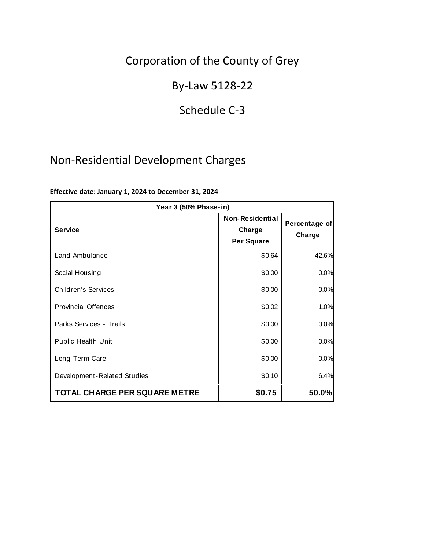# By-Law 5128-22

# Schedule C-3

# Non-Residential Development Charges

| Year 3 (50% Phase-in)                |                                                       |                         |  |
|--------------------------------------|-------------------------------------------------------|-------------------------|--|
| <b>Service</b>                       | <b>Non-Residential</b><br>Charge<br><b>Per Square</b> | Percentage of<br>Charge |  |
| Land Ambulance                       | \$0.64                                                | 42.6%                   |  |
| Social Housing                       | \$0.00                                                | 0.0%                    |  |
| <b>Children's Services</b>           | \$0.00                                                | 0.0%                    |  |
| <b>Provincial Offences</b>           | \$0.02                                                | 1.0%                    |  |
| Parks Services - Trails              | \$0.00                                                | 0.0%                    |  |
| <b>Public Health Unit</b>            | \$0.00                                                | 0.0%                    |  |
| Long-Term Care                       | \$0.00                                                | 0.0%                    |  |
| Development-Related Studies          | \$0.10                                                | 6.4%                    |  |
| <b>TOTAL CHARGE PER SQUARE METRE</b> | \$0.75                                                | 50.0%                   |  |

#### **Effective date: January 1, 2024 to December 31, 2024**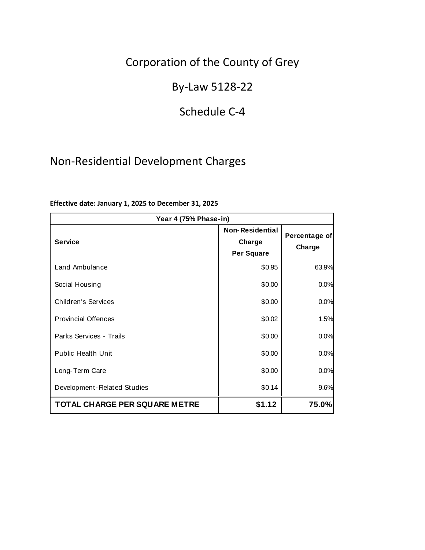# By-Law 5128-22

# Schedule C-4

# Non-Residential Development Charges

| Year 4 (75% Phase-in)                |                                                       |                         |  |
|--------------------------------------|-------------------------------------------------------|-------------------------|--|
| <b>Service</b>                       | <b>Non-Residential</b><br>Charge<br><b>Per Square</b> | Percentage of<br>Charge |  |
| Land Ambulance                       | \$0.95                                                | 63.9%                   |  |
| Social Housing                       | \$0.00                                                | 0.0%                    |  |
| <b>Children's Services</b>           | \$0.00                                                | 0.0%                    |  |
| <b>Provincial Offences</b>           | \$0.02                                                | 1.5%                    |  |
| Parks Services - Trails              | \$0.00                                                | 0.0%                    |  |
| <b>Public Health Unit</b>            | \$0.00                                                | 0.0%                    |  |
| Long-Term Care                       | \$0.00                                                | 0.0%                    |  |
| Development-Related Studies          | \$0.14                                                | 9.6%                    |  |
| <b>TOTAL CHARGE PER SQUARE METRE</b> | \$1.12                                                | 75.0%                   |  |

#### **Effective date: January 1, 2025 to December 31, 2025**